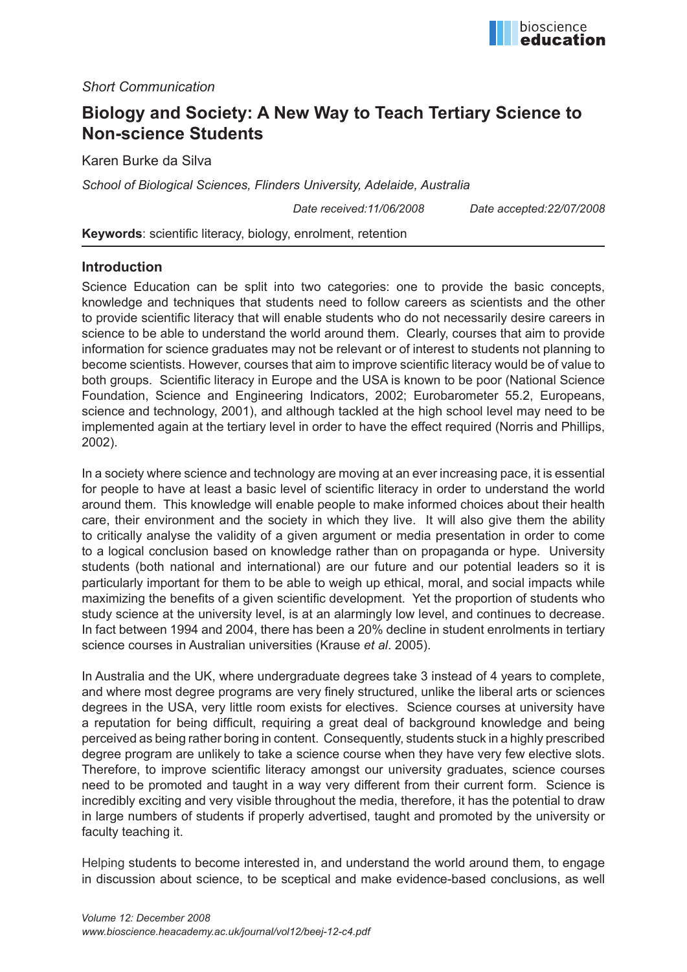

#### *Short Communication*

# **Biology and Society: A New Way to Teach Tertiary Science to Non-science Students**

Karen Burke da Silva

*School of Biological Sciences, Flinders University, Adelaide, Australia*

*Date received:11/06/2008 Date accepted:22/07/2008* 

**Keywords**: scientific literacy, biology, enrolment, retention

#### **Introduction**

Science Education can be split into two categories: one to provide the basic concepts, knowledge and techniques that students need to follow careers as scientists and the other to provide scientific literacy that will enable students who do not necessarily desire careers in science to be able to understand the world around them. Clearly, courses that aim to provide information for science graduates may not be relevant or of interest to students not planning to become scientists. However, courses that aim to improve scientific literacy would be of value to both groups. Scientific literacy in Europe and the USA is known to be poor (National Science Foundation, Science and Engineering Indicators, 2002; Eurobarometer 55.2, Europeans, science and technology, 2001), and although tackled at the high school level may need to be implemented again at the tertiary level in order to have the effect required (Norris and Phillips, 2002).

In a society where science and technology are moving at an ever increasing pace, it is essential for people to have at least a basic level of scientific literacy in order to understand the world around them. This knowledge will enable people to make informed choices about their health care, their environment and the society in which they live. It will also give them the ability to critically analyse the validity of a given argument or media presentation in order to come to a logical conclusion based on knowledge rather than on propaganda or hype. University students (both national and international) are our future and our potential leaders so it is particularly important for them to be able to weigh up ethical, moral, and social impacts while maximizing the benefits of a given scientific development. Yet the proportion of students who study science at the university level, is at an alarmingly low level, and continues to decrease. In fact between 1994 and 2004, there has been a 20% decline in student enrolments in tertiary science courses in Australian universities (Krause *et al*. 2005).

In Australia and the UK, where undergraduate degrees take 3 instead of 4 years to complete, and where most degree programs are very finely structured, unlike the liberal arts or sciences degrees in the USA, very little room exists for electives. Science courses at university have a reputation for being difficult, requiring a great deal of background knowledge and being perceived as being rather boring in content. Consequently, students stuck in a highly prescribed degree program are unlikely to take a science course when they have very few elective slots. Therefore, to improve scientific literacy amongst our university graduates, science courses need to be promoted and taught in a way very different from their current form. Science is incredibly exciting and very visible throughout the media, therefore, it has the potential to draw in large numbers of students if properly advertised, taught and promoted by the university or faculty teaching it.

Helping students to become interested in, and understand the world around them, to engage in discussion about science, to be sceptical and make evidence-based conclusions, as well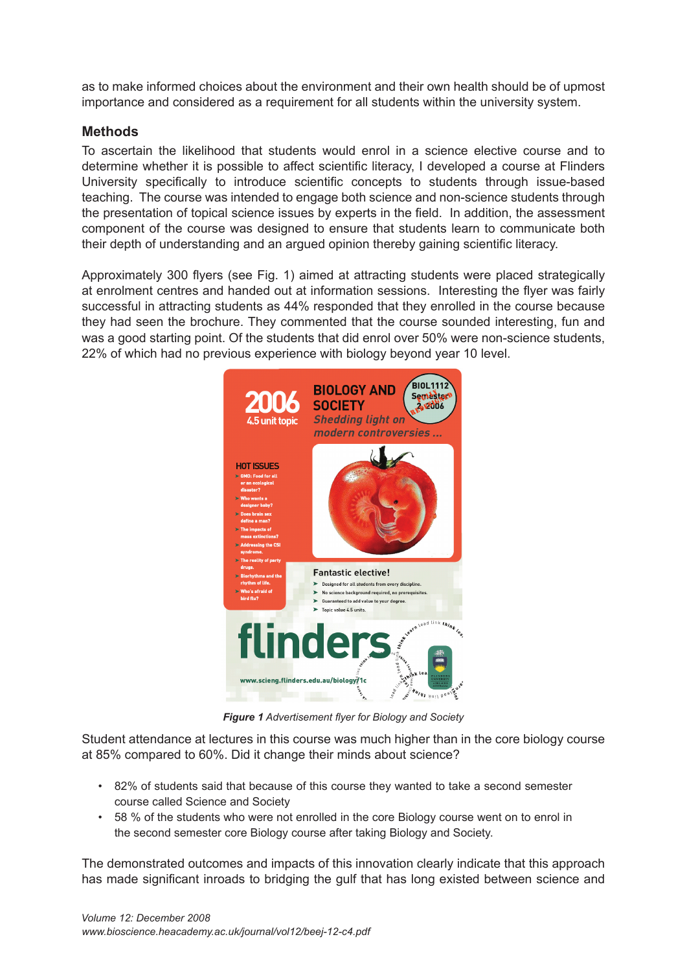as to make informed choices about the environment and their own health should be of upmost importance and considered as a requirement for all students within the university system.

### **Methods**

To ascertain the likelihood that students would enrol in a science elective course and to determine whether it is possible to affect scientific literacy, I developed a course at Flinders University specifically to introduce scientific concepts to students through issue-based teaching. The course was intended to engage both science and non-science students through the presentation of topical science issues by experts in the field. In addition, the assessment component of the course was designed to ensure that students learn to communicate both their depth of understanding and an argued opinion thereby gaining scientific literacy.

Approximately 300 flyers (see Fig. 1) aimed at attracting students were placed strategically at enrolment centres and handed out at information sessions. Interesting the flyer was fairly successful in attracting students as 44% responded that they enrolled in the course because they had seen the brochure. They commented that the course sounded interesting, fun and was a good starting point. Of the students that did enrol over 50% were non-science students, 22% of which had no previous experience with biology beyond year 10 level.



*Figure 1 Advertisement flyer for Biology and Society*

Student attendance at lectures in this course was much higher than in the core biology course at 85% compared to 60%. Did it change their minds about science?

- 82% of students said that because of this course they wanted to take a second semester course called Science and Society
- 58 % of the students who were not enrolled in the core Biology course went on to enrol in the second semester core Biology course after taking Biology and Society.

The demonstrated outcomes and impacts of this innovation clearly indicate that this approach has made significant inroads to bridging the gulf that has long existed between science and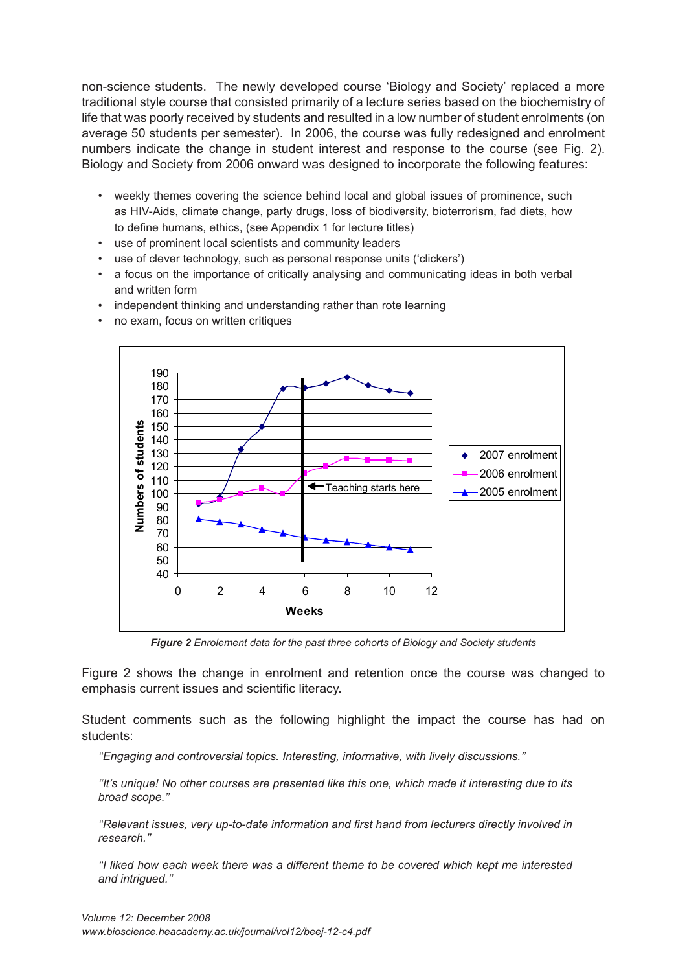non-science students. The newly developed course 'Biology and Society' replaced a more traditional style course that consisted primarily of a lecture series based on the biochemistry of life that was poorly received by students and resulted in a low number of student enrolments (on average 50 students per semester). In 2006, the course was fully redesigned and enrolment numbers indicate the change in student interest and response to the course (see Fig. 2). Biology and Society from 2006 onward was designed to incorporate the following features:

- weekly themes covering the science behind local and global issues of prominence, such as HIV-Aids, climate change, party drugs, loss of biodiversity, bioterrorism, fad diets, how to define humans, ethics, (see Appendix 1 for lecture titles)
- use of prominent local scientists and community leaders
- use of clever technology, such as personal response units ('clickers')
- a focus on the importance of critically analysing and communicating ideas in both verbal and written form
- independent thinking and understanding rather than rote learning
- no exam, focus on written critiques



*Figure 2 Enrolement data for the past three cohorts of Biology and Society students*

Figure 2 shows the change in enrolment and retention once the course was changed to emphasis current issues and scientific literacy.

Student comments such as the following highlight the impact the course has had on students:

*''Engaging and controversial topics. Interesting, informative, with lively discussions.''*

*''It's unique! No other courses are presented like this one, which made it interesting due to its broad scope.''*

*''Relevant issues, very up-to-date information and first hand from lecturers directly involved in research.''*

*''I liked how each week there was a different theme to be covered which kept me interested and intrigued.''*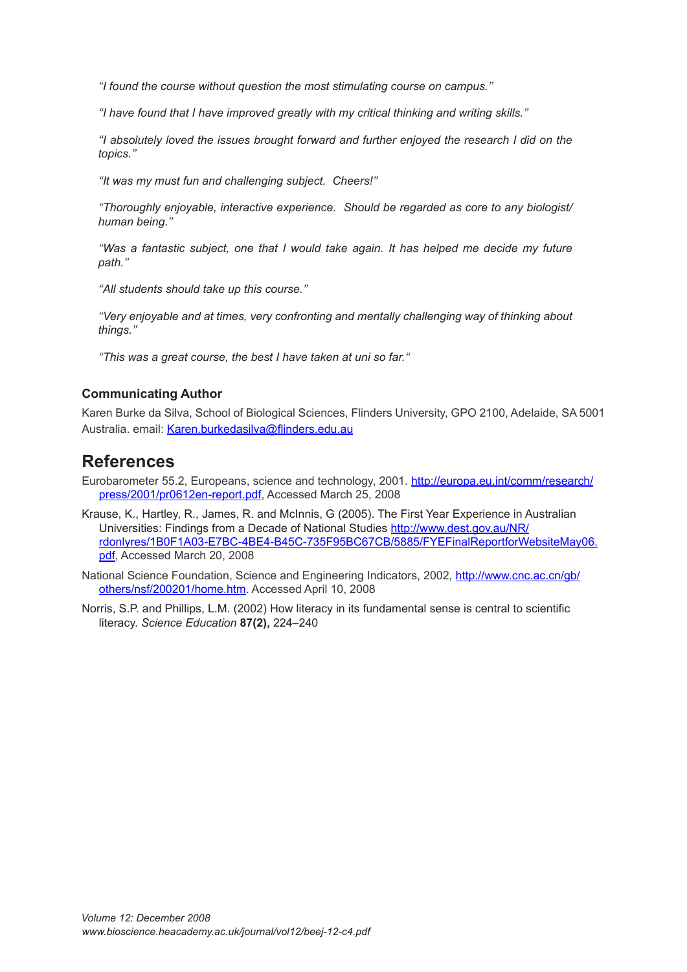*''I found the course without question the most stimulating course on campus.''*

*''I have found that I have improved greatly with my critical thinking and writing skills.''*

*''I absolutely loved the issues brought forward and further enjoyed the research I did on the topics.''*

*''It was my must fun and challenging subject. Cheers!''*

*''Thoroughly enjoyable, interactive experience. Should be regarded as core to any biologist/ human being.''*

*''Was a fantastic subject, one that I would take again. It has helped me decide my future path.''*

*''All students should take up this course.''*

*''Very enjoyable and at times, very confronting and mentally challenging way of thinking about things.''*

*''This was a great course, the best I have taken at uni so far.''*

#### **Communicating Author**

Karen Burke da Silva, School of Biological Sciences, Flinders University, GPO 2100, Adelaide, SA 5001 Australia. email: Karen.burkedasilva@flinders.edu.au

## **References**

Eurobarometer 55.2, Europeans, science and technology, 2001. http://europa.eu.int/comm/research/ press/2001/pr0612en-report.pdf, Accessed March 25, 2008

- Krause, K., Hartley, R., James, R. and McInnis, G (2005). The First Year Experience in Australian Universities: Findings from a Decade of National Studies http://www.dest.gov.au/NR/ rdonlyres/1B0F1A03-E7BC-4BE4-B45C-735F95BC67CB/5885/FYEFinalReportforWebsiteMay06. pdf, Accessed March 20, 2008
- National Science Foundation, Science and Engineering Indicators, 2002, http://www.cnc.ac.cn/gb/ others/nsf/200201/home.htm. Accessed April 10, 2008
- Norris, S.P. and Phillips, L.M. (2002) How literacy in its fundamental sense is central to scientific literacy. *Science Education* **87(2),** 224–240